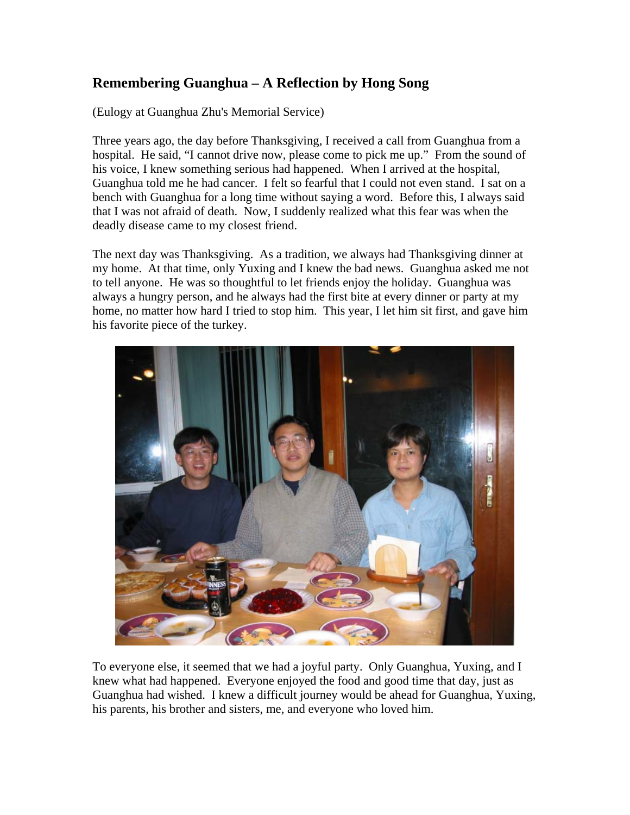## **Remembering Guanghua – A Reflection by Hong Song**

(Eulogy at Guanghua Zhu's Memorial Service)

Three years ago, the day before Thanksgiving, I received a call from Guanghua from a hospital. He said, "I cannot drive now, please come to pick me up." From the sound of his voice, I knew something serious had happened. When I arrived at the hospital, Guanghua told me he had cancer. I felt so fearful that I could not even stand. I sat on a bench with Guanghua for a long time without saying a word. Before this, I always said that I was not afraid of death. Now, I suddenly realized what this fear was when the deadly disease came to my closest friend.

The next day was Thanksgiving. As a tradition, we always had Thanksgiving dinner at my home. At that time, only Yuxing and I knew the bad news. Guanghua asked me not to tell anyone. He was so thoughtful to let friends enjoy the holiday. Guanghua was always a hungry person, and he always had the first bite at every dinner or party at my home, no matter how hard I tried to stop him. This year, I let him sit first, and gave him his favorite piece of the turkey.



To everyone else, it seemed that we had a joyful party. Only Guanghua, Yuxing, and I knew what had happened. Everyone enjoyed the food and good time that day, just as Guanghua had wished. I knew a difficult journey would be ahead for Guanghua, Yuxing, his parents, his brother and sisters, me, and everyone who loved him.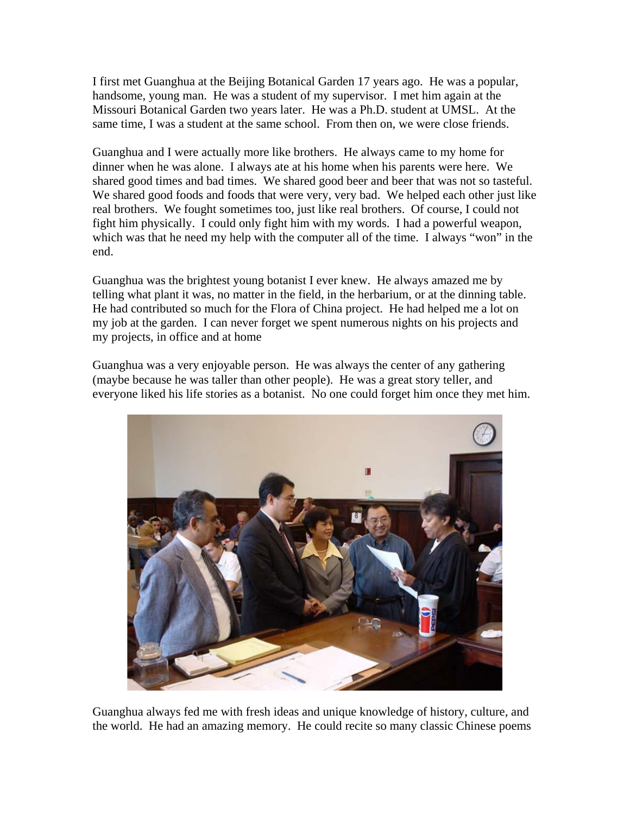I first met Guanghua at the Beijing Botanical Garden 17 years ago. He was a popular, handsome, young man. He was a student of my supervisor. I met him again at the Missouri Botanical Garden two years later. He was a Ph.D. student at UMSL. At the same time, I was a student at the same school. From then on, we were close friends.

Guanghua and I were actually more like brothers. He always came to my home for dinner when he was alone. I always ate at his home when his parents were here. We shared good times and bad times. We shared good beer and beer that was not so tasteful. We shared good foods and foods that were very, very bad. We helped each other just like real brothers. We fought sometimes too, just like real brothers. Of course, I could not fight him physically. I could only fight him with my words. I had a powerful weapon, which was that he need my help with the computer all of the time. I always "won" in the end.

Guanghua was the brightest young botanist I ever knew. He always amazed me by telling what plant it was, no matter in the field, in the herbarium, or at the dinning table. He had contributed so much for the Flora of China project. He had helped me a lot on my job at the garden. I can never forget we spent numerous nights on his projects and my projects, in office and at home

Guanghua was a very enjoyable person. He was always the center of any gathering (maybe because he was taller than other people). He was a great story teller, and everyone liked his life stories as a botanist. No one could forget him once they met him.



Guanghua always fed me with fresh ideas and unique knowledge of history, culture, and the world. He had an amazing memory. He could recite so many classic Chinese poems